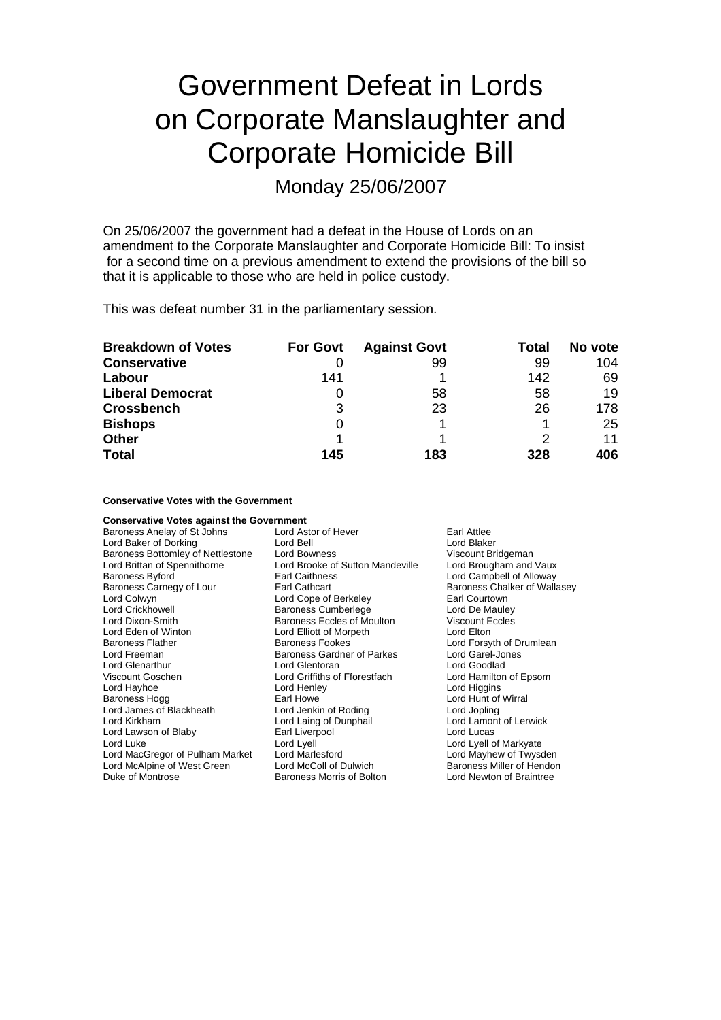# Government Defeat in Lords on Corporate Manslaughter and Corporate Homicide Bill

Monday 25/06/2007

On 25/06/2007 the government had a defeat in the House of Lords on an amendment to the Corporate Manslaughter and Corporate Homicide Bill: To insist for a second time on a previous amendment to extend the provisions of the bill so that it is applicable to those who are held in police custody.

This was defeat number 31 in the parliamentary session.

| <b>Breakdown of Votes</b> | <b>For Govt</b> | <b>Against Govt</b> | Total | No vote |
|---------------------------|-----------------|---------------------|-------|---------|
| <b>Conservative</b>       |                 | 99                  | 99    | 104     |
| Labour                    | 141             |                     | 142   | 69      |
| <b>Liberal Democrat</b>   | O               | 58                  | 58    | 19      |
| <b>Crossbench</b>         | 3               | 23                  | 26    | 178     |
| <b>Bishops</b>            | 0               |                     |       | 25      |
| <b>Other</b>              |                 |                     | 2     | 11      |
| <b>Total</b>              | 145             | 183                 | 328   | 406     |

### **Conservative Votes with the Government**

| <b>Conservative Votes against the Government</b>   |                                   |                              |
|----------------------------------------------------|-----------------------------------|------------------------------|
| Baroness Anelay of St Johns                        | Lord Astor of Hever               | Earl Attlee                  |
| Lord Baker of Dorking                              | Lord Bell                         | Lord Blaker                  |
| Baroness Bottomley of Nettlestone                  | Lord Bowness                      | Viscount Bridgeman           |
| Lord Brittan of Spennithorne                       | Lord Brooke of Sutton Mandeville  | Lord Brougham and Vaux       |
| <b>Baroness Byford</b>                             | Earl Caithness                    | Lord Campbell of Alloway     |
| Baroness Carnegy of Lour                           | Earl Cathcart                     | Baroness Chalker of Wallasey |
| Lord Colwyn                                        | Lord Cope of Berkeley             | Earl Courtown                |
| Lord Crickhowell                                   | <b>Baroness Cumberlege</b>        | Lord De Mauley               |
| Lord Dixon-Smith                                   | <b>Baroness Eccles of Moulton</b> | <b>Viscount Eccles</b>       |
| Lord Eden of Winton                                | Lord Elliott of Morpeth           | Lord Elton                   |
| <b>Baroness Flather</b>                            | <b>Baroness Fookes</b>            | Lord Forsyth of Drumlean     |
| Lord Freeman                                       | <b>Baroness Gardner of Parkes</b> | Lord Garel-Jones             |
| <b>Lord Glenarthur</b>                             | Lord Glentoran                    | Lord Goodlad                 |
| Viscount Goschen                                   | Lord Griffiths of Fforestfach     | Lord Hamilton of Epsom       |
| Lord Hayhoe                                        | Lord Henley                       | Lord Higgins                 |
| Baroness Hogg                                      | Earl Howe                         | Lord Hunt of Wirral          |
| Lord James of Blackheath                           | Lord Jenkin of Roding             | Lord Jopling                 |
| Lord Kirkham                                       | Lord Laing of Dunphail            | Lord Lamont of Lerwick       |
| Lord Lawson of Blaby                               | Earl Liverpool                    | Lord Lucas                   |
| Lord Luke                                          | Lord Lyell                        | Lord Lyell of Markyate       |
| Lord MacGregor of Pulham Market<br>Lord Marlesford |                                   | Lord Mayhew of Twysden       |
| Lord McAlpine of West Green                        | Lord McColl of Dulwich            | Baroness Miller of Hendon    |
| Duke of Montrose                                   | Baroness Morris of Bolton         | Lord Newton of Braintree     |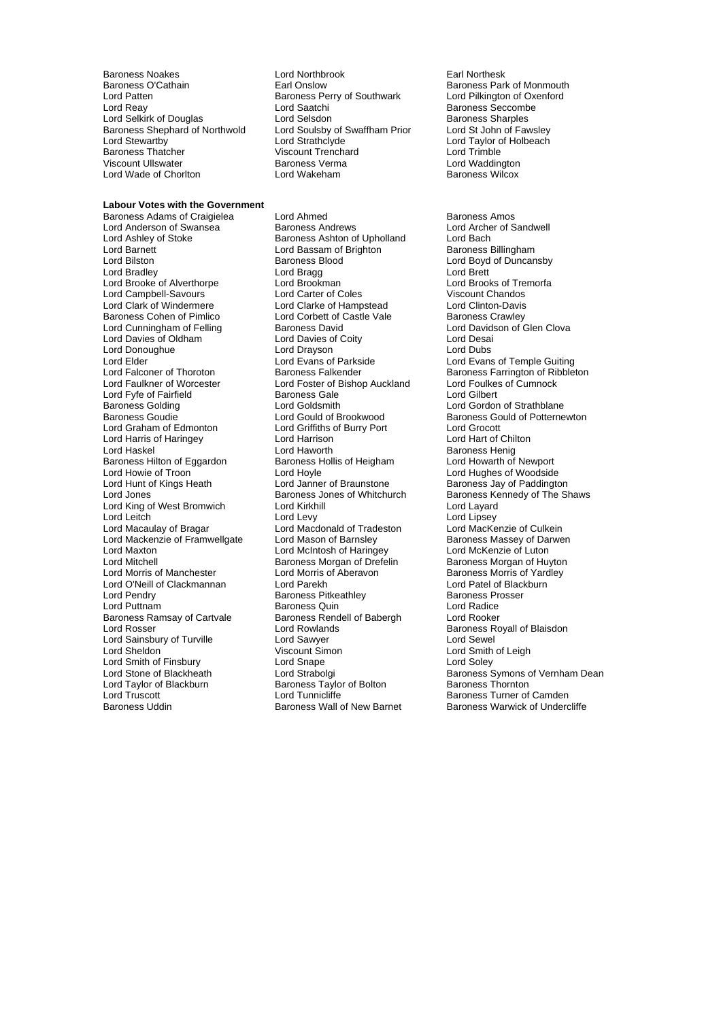Baroness O'Cathain **Earl Onslow** Earl Onslow Baroness Park of Monmouth<br>
Lord Patten **Baroness Perry of Southwark** Lord Pilkington of Oxenford Lord Patten Baroness Perry of Southwark<br>
Lord Reav
Lord Saatchi Lord Selkirk of Douglas Lord Selsdon<br>
Lord St John of Fawsley<br>
Baroness Shephard of Northwold Lord Soulsby of Swaffham Prior Lord St John of Fawsley Baroness Shephard of Northwold Lord Soulsby of Schephard of Northwold Lord Strathclyde Baroness Thatcher Viscount Trenchard Lord Trimble Lord Wade of Chorlton

### **Labour Votes with the Government**

Baroness Adams of Craigielea Lord Ahmed<br>
Lord Anderson of Swansea Baroness Andrews Baroness Andrews Lord Archer of Sandwell Lord Anderson of Swansea **Baroness Andrews** Lord Archer Lord Archer Caroless Association Cord Archer Caroless Ashton of Upholland Lord Bach Lord Ashley of Stoke Baroness Ashton of Upholland<br>
Lord Barnett<br>
Lord Bassam of Brighton Lord Bilston **Baroness Blood** Cord Boyd of Duncansby<br>
Lord Bradley **Cord Boyd Cord Boyd Cord Bragg**<br>
Lord Bragg Cord Boyd Brett Lord Bradley Lord Bragg Lord Brett Lord Brooke of Alverthorpe Lord Brookman Lord Brooks of Tre<br>
Lord Campbell-Savours Lord Carter of Coles Correst Chandos Lord Campbell-Savours Lord Carter of Coles Lord Clark of Windermere Lord Clarke of Hampstead Lord Clinton-Davis Lord Cunningham of Felling Baroness David Cunningham of Felling Baroness David Current Current Current Current<br>
Lord Davies of Culturent Current Current Current Current Current Current Current Current Current Current Curr<br> Lord Davies of Oldham **Lord Davies of Coity** Lord Desaint Davies of Coity Cord Desaint Lord Dubs<br>
Lord Doroughue Lord Dubs<br>
Lord Dubs Lord Donoughue **Lord Drayson**<br>
Lord Elder **Lord Evans of Parkside** Lord Elder Temple Guiting<br>
Lord Exans of Thoroton Baroness Falkender The Cord Evans of Temple Guiting<br>
Lord Falconer of Thoroton Baroness Falkender The Baroness Farrington of Ribblet Lord Faulkner of Worcester Lord Foster of Bishop Auckland Lord Foulkes of Cumnock<br>Lord Fyfe of Fairfield **Baroness Gale** Lord Gilbert Lord Fyfe of Fairfield **Baroness Gale**<br>
Baroness Golding **Baroness** Lord Goldsmith Baroness Golding Lord Goldsmith Lord Gordon of Strathblane Lord Graham of Edmonton Lord Griffiths of Burry Port Lord Grocott Lord Harris of Haringey **Lord Harrison**<br>
Lord Haskel Chilton Lord Haworth Baroness Hilton of Eggardon Baroness Hollis Baroness Hollis of Troon<br>
Baroness Howarth Cord Hoyle Lord Howie of Troon Lord Hoyle The Lord Hoyle Cord Hughes of Woodside<br>Lord Hunt of Kings Heath Lord Janner of Braunstone Baroness Jay of Paddingto Lord Hunt of Kings Heath Lord Janner of Braunstone Baroness Jay of Paddington<br>
Lord Jones Baroness Jones of Whitchurch Baroness Kennedy of The SI Lord King of West Bromwich Lord Kirkhill Lord Layard Lord Layard Lord Leitch Lord Levy Lord Levy Lord Lord Lipsey<br>
Lord Macaulay of Bragar Lord Macdonald of Tradeston Lord MacKenzie of Culkein Lord Mackenzie of Framwellgate Lord Mason of Barnsley **Baroness Massey of Darwen**<br>Lord Maxton **Baroness Corde Accepts** Lord McKenzie of Luton Lord Maxton **Lord McIntosh of Haringey** Lord McKenzie of Luton<br>
Lord Mitchell **Corporation Control Corporation**<br>
Lord Mitchell **Corporation Corporation Corporation** Baroness Morgan of Huvton Lord Mitchell<br>
Lord Morris of Manchester<br>
Lord Morris of Aberavon Lord O'Neill of Clackmannan Lord Parekh Lord Patel of Blackburn Clackmannan Lord Patel of Blackburn Baroness Prosser<br>
Lord Pendrv Clackmannan Baroness Pitkeathley Clackburn Baroness Prosser Lord Pendry **Communist Communist Communist Pendry Communist Pendre Baroness Providence**<br>
Baroness Quin<br>
Baroness Quin<br>
Baroness Quin Lord Puttnam **Baroness Quin**<br>
Baroness Ramsay of Cartvale Baroness Rendell of Babergh Lord Rooker Baroness Ramsay of Cartvale Baroness Rendell of Babergh<br>
Lord Rosser Lord Rowlands Lord Sainsbury of Turville **Lord Sawyer Corporation**<br>
Lord Sheldon **Corporation**<br>
Lord Smith Corporation Corporation Corporation Corporation Corporation Lord Sheldon **Contact Contact Simon** Viscount Simon **Lord Smith of Leigh** Lord Smith of Finsbury **Lord Snape Lord Snape Lord Strabolgi** Lord Taylor of Blackburn Baroness Taylor of Bolton<br>
Lord Truscott Baroness Taylor of Bolton Lord Truscott **Lord Tunnicliffe** Lord Tunnicliffe **Baroness Turner of Camden**<br>Baroness Uddin **Baroness Wall of New Barnet** Baroness Warwick of Under

Baroness Noakes Lord Northbrook Earl Northesk Lord Saatchi Baroness Seccombe<br>
Lord Selsdon Baroness Sharples Lord Strathclyde Lord Taylor of Holbeach<br>
Viscount Trenchard Lord Trimble<br>
Viscount Trenchard Lord Trimble Viscount Ullswater **Baroness Verma** Communisty Chronic Muslim Muslim Lord Waddington<br>The Baroness Wilcox Lord Wakeham Chronic Muslim Baroness Wilcox

> Lord Corbett of Castle Vale Baroness Crawley<br>Baroness David Baroness Cavid Baroness Crawley Lord Haskel Lord Haworth Baroness Henig Lord Macdonald of Tradeston

**Barnett Bridge Billingham** Baroness Farrington of Ribbleton Baroness Gould of Potternewton Baroness Kennedy of The Shaws Baroness Morris of Yardley<br>Lord Patel of Blackburn Baroness Royall of Blaisdon Lord Smith of Finsbury Lord Snape and Lord Strabolgi Cord Strabolgi Cord Strabolgi Baroness Symons of Vernham Dean<br>
Lord Strabolgi Baroness Tavlor of Bolton Baroness Symons of Vernham Dean<br>
Lord Tavlor of Blackburn Barones Baroness Warwick of Undercliffe